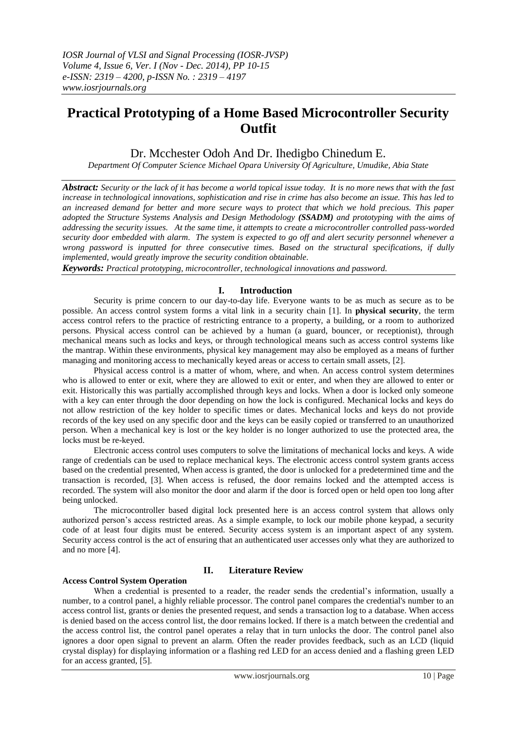# **Practical Prototyping of a Home Based Microcontroller Security Outfit**

Dr. Mcchester Odoh And Dr. Ihedigbo Chinedum E.

*Department Of Computer Science Michael Opara University Of Agriculture, Umudike, Abia State*

*Abstract: Security or the lack of it has become a world topical issue today. It is no more news that with the fast increase in technological innovations, sophistication and rise in crime has also become an issue. This has led to an increased demand for better and more secure ways to protect that which we hold precious. This paper adopted the Structure Systems Analysis and Design Methodology (SSADM) and prototyping with the aims of addressing the security issues. At the same time, it attempts to create a microcontroller controlled pass-worded security door embedded with alarm. The system is expected to go off and alert security personnel whenever a wrong password is inputted for three consecutive times. Based on the structural specifications, if dully implemented, would greatly improve the security condition obtainable.*

*Keywords: Practical prototyping, microcontroller, technological innovations and password.*

## **I. Introduction**

Security is prime concern to our day-to-day life. Everyone wants to be as much as secure as to be possible. An access control system forms a vital link in a security chain [1]. In **[physical security](http://en.wikipedia.org/wiki/Physical_security)**, the term access control refers to the practice of restricting entrance to a property, a building, or a room to [authorized](http://en.wikipedia.org/wiki/Authorized) persons. Physical access control can be achieved by a human (a guard, bouncer, or receptionist), through mechanical means such as locks and keys, or through technological means such as access control systems like the [mantrap.](http://en.wikipedia.org/wiki/Mantrap) Within these environments, [physical key management](http://en.wikipedia.org/w/index.php?title=Physical_key_management&action=edit&redlink=1) may also be employed as a means of further managing and monitoring access to mechanically keyed areas or access to certain small assets, [2].

Physical access control is a matter of whom, where, and when. An access control system determines who is allowed to enter or exit, where they are allowed to exit or enter, and when they are allowed to enter or exit. Historically this was partially accomplished through keys and locks. When a door is locked only someone with a key can enter through the door depending on how the lock is configured. Mechanical locks and keys do not allow restriction of the key holder to specific times or dates. Mechanical locks and keys do not provide records of the key used on any specific door and the keys can be easily copied or transferred to an unauthorized person. When a mechanical key is lost or the key holder is no longer authorized to use the protected area, the locks must be re-keyed.

Electronic access control uses computers to solve the limitations of mechanical locks and keys. A wide range of [credentials](http://en.wikipedia.org/wiki/Credentials) can be used to replace mechanical keys. The electronic access control system grants access based on the credential presented, When access is granted, the door is unlocked for a predetermined time and the transaction is recorded, [3]. When access is refused, the door remains locked and the attempted access is recorded. The system will also monitor the door and alarm if the door is forced open or held open too long after being unlocked.

The microcontroller based digital lock presented here is an access control system that allows only authorized person's access restricted areas. As a simple example, to lock our mobile phone keypad, a security code of at least four digits must be entered. Security access system is an important aspect of any system. Security access control is the act of ensuring that an authenticated user accesses only what they are authorized to and no more [4].

## **Access Control System Operation**

## **II. Literature Review**

When a credential is presented to a reader, the reader sends the credential's information, usually a number, to a control panel, a highly reliable processor. The control panel compares the credential's number to an access control list, grants or denies the presented request, and sends a transaction log to a database. When access is denied based on the access control list, the door remains locked. If there is a match between the credential and the access control list, the control panel operates a relay that in turn unlocks the door. The control panel also ignores a door open signal to prevent an alarm. Often the reader provides feedback, such as an LCD (liquid crystal display) for displaying information or a flashing red LED for an access denied and a flashing green LED for an access granted, [5].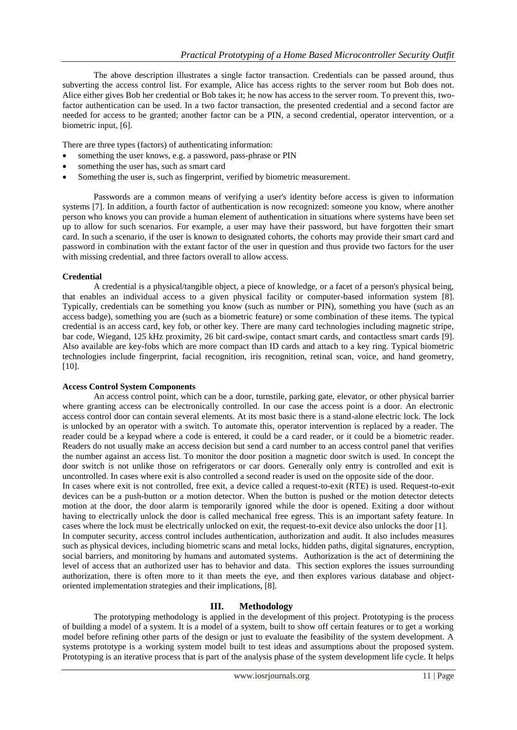The above description illustrates a single factor transaction. Credentials can be passed around, thus subverting the access control list. For example, Alice has access rights to the [server room](http://en.wikipedia.org/wiki/Server_room) but Bob does not. Alice either gives Bob her credential or Bob takes it; he now has access to the server room. To prevent this, [two](http://en.wikipedia.org/wiki/Two-factor_authentication)[factor authentication](http://en.wikipedia.org/wiki/Two-factor_authentication) can be used. In a two factor transaction, the presented credential and a second factor are needed for access to be granted; another factor can be a PIN, a second credential, operator intervention, or a biometric input, [6].

There are three types (factors) of authenticating information:

- something the user knows, e.g. a password, pass-phrase or PIN
- something the user has, such as smart card
- Something the user is, such as fingerprint, verified by biometric measurement.

Passwords are a common means of verifying a user's identity before access is given to information systems [7]. In addition, a fourth factor of authentication is now recognized: someone you know, where another person who knows you can provide a human element of authentication in situations where systems have been set up to allow for such scenarios. For example, a user may have their password, but have forgotten their smart card. In such a scenario, if the user is known to designated cohorts, the cohorts may provide their smart card and password in combination with the extant factor of the user in question and thus provide two factors for the user with missing credential, and three factors overall to allow access.

#### **Credential**

A credential is a physical/tangible object, a piece of knowledge, or a facet of a person's physical being, that enables an individual access to a given physical facility or computer-based information system [8]. Typically, credentials can be something you know (such as number or PIN), something you have (such as an [access badge\)](http://en.wikipedia.org/wiki/Access_badge), something you are (such as a biometric feature) or some combination of these items. The typical credential is an access card, key fob, or other key. There are many card technologies including magnetic stripe, bar code, Wiegand, 125 kHz proximity, 26 bit card-swipe, contact smart cards, and [contactless smart cards](http://en.wikipedia.org/wiki/Contactless_smart_card) [9]. Also available are key-fobs which are more compact than ID cards and attach to a key ring. Typical biometric technologies include fingerprint, facial recognition, iris recognition, retinal scan, voice, and hand geometry, [10].

#### **Access Control System Components**

An access control point, which can be a [door,](http://en.wikipedia.org/wiki/Door) turnstile, parking gate, elevator, or other physical barrier where granting access can be electronically controlled. In our case the access point is a door. An electronic access control door can contain several elements. At its most basic there is a stand-alone electric lock. The lock is unlocked by an operator with a switch. To automate this, operator intervention is replaced by a reader. The reader could be a keypad where a code is entered, it could be a card [reader,](http://en.wikipedia.org/wiki/Card_reader) or it could be a biometric reader. Readers do not usually make an access decision but send a card number to an access control panel that verifies the number against an access list. To monitor the door position a magnetic door switch is used. In concept the door switch is not unlike those on refrigerators or car doors. Generally only entry is controlled and exit is uncontrolled. In cases where exit is also controlled a second reader is used on the opposite side of the door.

In cases where exit is not controlled, free exit, a device called a request-to-exit (RTE) is used. Request-to-exit devices can be a push-button or a motion detector. When the button is pushed or the motion detector detects motion at the door, the door alarm is temporarily ignored while the door is opened. Exiting a door without having to electrically unlock the door is called mechanical free egress. This is an important safety feature. In cases where the lock must be electrically unlocked on exit, the request-to-exit device also unlocks the door [1]. In [computer security,](http://en.wikipedia.org/wiki/Computer_security) access control includes [authentication,](http://en.wikipedia.org/wiki/Authentication) [authorization](http://en.wikipedia.org/wiki/Authorization) and [audit.](http://en.wikipedia.org/wiki/Audit_trail) It also includes measures such as physical devices, including biometric scans and metal [locks,](http://en.wikipedia.org/wiki/Lock_%28device%29) hidden paths, [digital signatures,](http://en.wikipedia.org/wiki/Digital_signature) [encryption,](http://en.wikipedia.org/wiki/Encryption) social barriers, and monitoring by humans and automated systems. Authorization is the act of determining the

level of access that an authorized user has to behavior and data. This section explores the [issues surrounding](http://www.agiledata.org/essays/accessControl.html#Issues)  [authorization,](http://www.agiledata.org/essays/accessControl.html#Issues) there is often more to it than meets the eye, and then explores various [database](http://www.agiledata.org/essays/accessControl.html#DatabaseImplementationStrategies) and [object](http://www.agiledata.org/essays/accessControl.html#OOImplementationStrategies)[oriented implementation strategies](http://www.agiledata.org/essays/accessControl.html#OOImplementationStrategies) and their [implications,](http://www.agiledata.org/essays/accessControl.html#Implications) [8].

## **III. Methodology**

The prototyping methodology is applied in the development of this project. Prototyping is the process of building a model of a system. It is a model of a system, built to show off certain features or to get a working model before refining other parts of the design or just to evaluate the feasibility of the system development. A systems prototype is a working system model built to test ideas and assumptions about the proposed system. Prototyping is an iterative process that is part of the analysis phase of the system development life cycle. It helps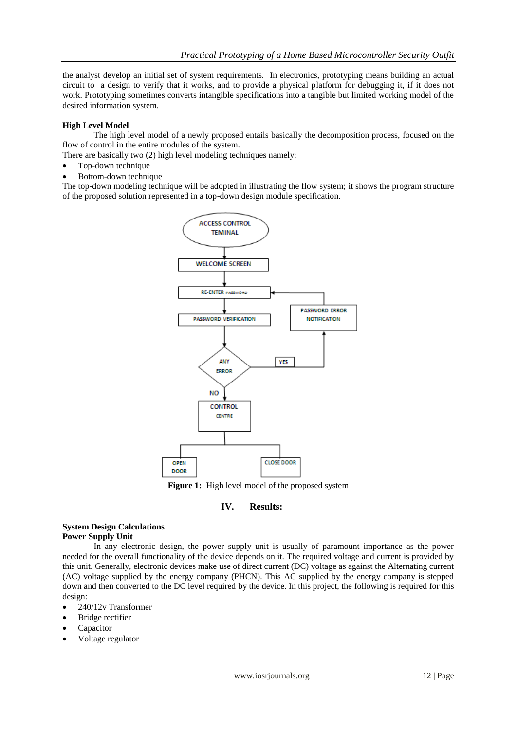the analyst develop an initial set of system requirements. In electronics, prototyping means building an actual circuit to a design to verify that it works, and to provide a physical platform for debugging it, if it does not work. Prototyping sometimes converts intangible specifications into a tangible but limited working model of the desired information system.

#### **High Level Model**

The high level model of a newly proposed entails basically the decomposition process, focused on the flow of control in the entire modules of the system.

There are basically two (2) high level modeling techniques namely:

- Top-down technique
- Bottom-down technique

The top-down modeling technique will be adopted in illustrating the flow system; it shows the program structure of the proposed solution represented in a top-down design module specification.



**Figure 1:** High level model of the proposed system

## **IV. Results:**

#### **System Design Calculations Power Supply Unit**

In any electronic design, the power supply unit is usually of paramount importance as the power needed for the overall functionality of the device depends on it. The required voltage and current is provided by this unit. Generally, electronic devices make use of direct current (DC) voltage as against the Alternating current (AC) voltage supplied by the energy company (PHCN). This AC supplied by the energy company is stepped down and then converted to the DC level required by the device. In this project, the following is required for this design:

- 240/12v Transformer
- Bridge rectifier
- Capacitor
- Voltage regulator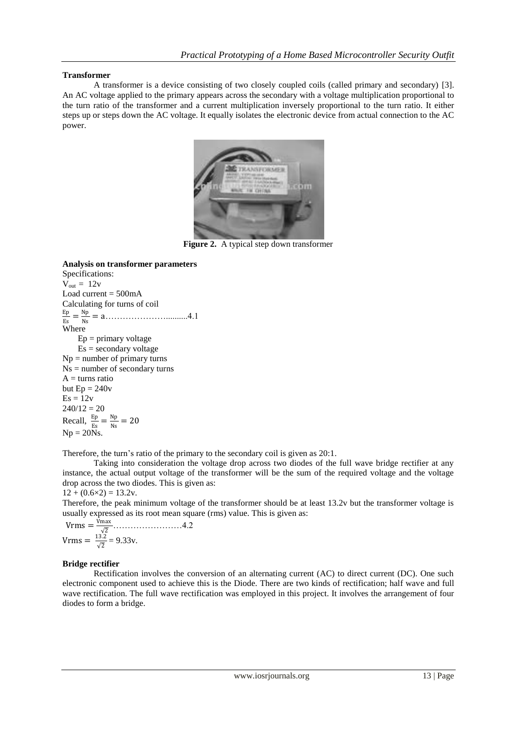#### **Transformer**

A transformer is a device consisting of two closely coupled coils (called primary and secondary) [3]. An AC voltage applied to the primary appears across the secondary with a voltage multiplication proportional to the turn ratio of the transformer and a current multiplication inversely proportional to the turn ratio. It either steps up or steps down the AC voltage. It equally isolates the electronic device from actual connection to the AC power.



**Figure 2.** A typical step down transformer

**Analysis on transformer parameters** Specifications:  $V_{\text{out}} = 12v$ Load current = 500mA Calculating for turns of coil Ep  $\frac{Ep}{Es} = \frac{Np}{Ns}$ Ns = a…………………..........4.1 Where<sup>11</sup>  $Ep = primary$  voltage  $Es = secondary voltage$  $Np =$  number of primary turns  $Ns =$  number of secondary turns  $A =$  turns ratio but  $Ep = 240v$  $Es = 12v$  $240/12 = 20$ Recall,  $\frac{Ep}{Es} = \frac{Np}{Ns}$  $\frac{N_{\rm P}}{N_{\rm S}} = 20$  $Np = 20\overline{Ns}$ .

Therefore, the turn's ratio of the primary to the secondary coil is given as 20:1.

Taking into consideration the voltage drop across two diodes of the full wave bridge rectifier at any instance, the actual output voltage of the transformer will be the sum of the required voltage and the voltage drop across the two diodes. This is given as:

 $12 + (0.6 \times 2) = 13.2$ v.

Therefore, the peak minimum voltage of the transformer should be at least 13.2v but the transformer voltage is usually expressed as its root mean square (rms) value. This is given as:

Vrms = 
$$
\frac{V_{\text{max}}}{\sqrt{2}}
$$
............4.2  
Vrms =  $\frac{13.2}{\sqrt{2}}$  = 9.33v.

## **Bridge rectifier**

Rectification involves the conversion of an alternating current (AC) to direct current (DC). One such electronic component used to achieve this is the Diode. There are two kinds of rectification; half wave and full wave rectification. The full wave rectification was employed in this project. It involves the arrangement of four diodes to form a bridge.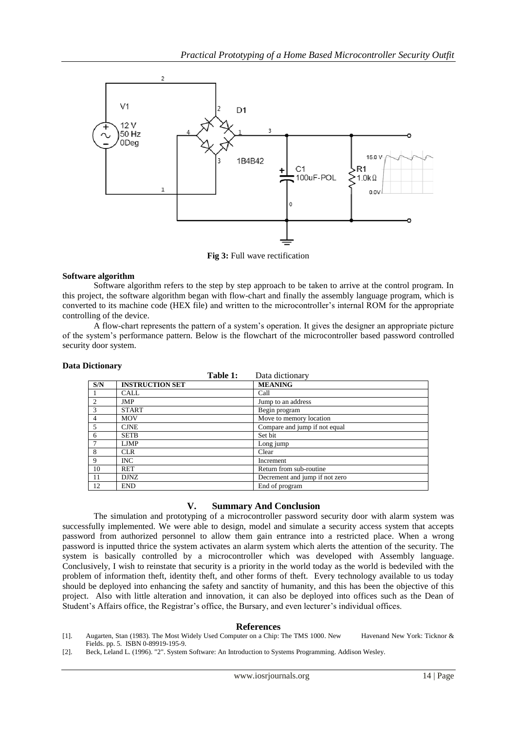

**Fig 3:** Full wave rectification

#### **Software algorithm**

Software algorithm refers to the step by step approach to be taken to arrive at the control program. In this project, the software algorithm began with flow-chart and finally the assembly language program, which is converted to its machine code (HEX file) and written to the microcontroller's internal ROM for the appropriate controlling of the device.

A flow-chart represents the pattern of a system's operation. It gives the designer an appropriate picture of the system's performance pattern. Below is the flowchart of the microcontroller based password controlled security door system.

|                 | Table 1:               | Data dictionary                |
|-----------------|------------------------|--------------------------------|
| S/N             | <b>INSTRUCTION SET</b> | <b>MEANING</b>                 |
|                 | <b>CALL</b>            | Call                           |
| 2               | <b>JMP</b>             | Jump to an address             |
| $\overline{3}$  | <b>START</b>           | Begin program                  |
| $\overline{4}$  | <b>MOV</b>             | Move to memory location        |
| $\overline{5}$  | <b>CJNE</b>            | Compare and jump if not equal  |
| - 6             | <b>SETB</b>            | Set bit                        |
| $7\phantom{.0}$ | <b>LJMP</b>            | Long jump                      |
| 8               | <b>CLR</b>             | Clear                          |
| -9              | <b>INC</b>             | Increment                      |
| 10              | <b>RET</b>             | Return from sub-routine        |
| -11             | <b>DJNZ</b>            | Decrement and jump if not zero |
| 12              | <b>END</b>             | End of program                 |

#### **Data Dictionary**

## **V. Summary And Conclusion**

The simulation and prototyping of a microcontroller password security door with alarm system was successfully implemented. We were able to design, model and simulate a security access system that accepts password from authorized personnel to allow them gain entrance into a restricted place. When a wrong password is inputted thrice the system activates an alarm system which alerts the attention of the security. The system is basically controlled by a microcontroller which was developed with Assembly language. Conclusively, I wish to reinstate that security is a priority in the world today as the world is bedeviled with the problem of information theft, identity theft, and other forms of theft. Every technology available to us today should be deployed into enhancing the safety and sanctity of humanity, and this has been the objective of this project. Also with little alteration and innovation, it can also be deployed into offices such as the Dean of Student's Affairs office, the Registrar's office, the Bursary, and even lecturer's individual offices.

#### **References**

[1]. Augarten, Stan (1983). [The Most Widely Used Computer on a Chip: The TMS 1000.](http://smithsonianchips.si.edu/augarten/p38.htm) New Havenand New York: Ticknor &

Fields. pp. 5. [ISBN](http://en.wikipedia.org/wiki/International_Standard_Book_Number) [0-89919-195-9.](http://en.wikipedia.org/wiki/Special:BookSources/0-89919-195-9) [2]. Beck, Leland L. (1996). "2". System Software: An Introduction to Systems Programming. Addison Wesley.